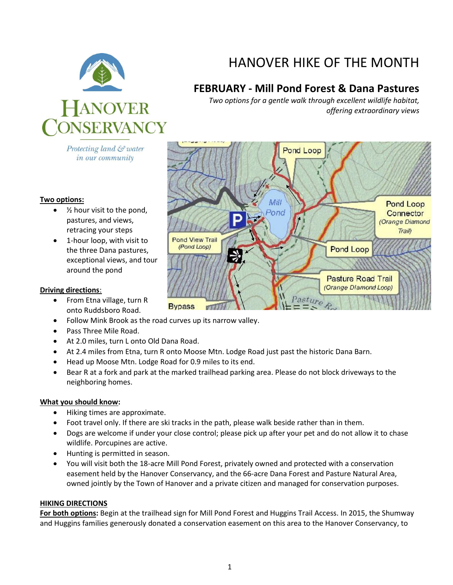

Protecting land & water in our community

#### **Two options:**

- $\bullet$  % hour visit to the pond, pastures, and views, retracing your steps
- 1-hour loop, with visit to the three Dana pastures, exceptional views, and tour around the pond

#### **Driving directions**:

- From Etna village, turn R onto Ruddsboro Road.
- Follow Mink Brook as the road curves up its narrow valley.
- Pass Three Mile Road.
- At 2.0 miles, turn L onto Old Dana Road.
- At 2.4 miles from Etna, turn R onto Moose Mtn. Lodge Road just past the historic Dana Barn.
- Head up Moose Mtn. Lodge Road for 0.9 miles to its end.
- Bear R at a fork and park at the marked trailhead parking area. Please do not block driveways to the neighboring homes.

### **What you should know:**

- Hiking times are approximate.
- Foot travel only. If there are ski tracks in the path, please walk beside rather than in them.
- Dogs are welcome if under your close control; please pick up after your pet and do not allow it to chase wildlife. Porcupines are active.
- Hunting is permitted in season.
- You will visit both the 18-acre Mill Pond Forest, privately owned and protected with a conservation easement held by the Hanover Conservancy, and the 66-acre Dana Forest and Pasture Natural Area, owned jointly by the Town of Hanover and a private citizen and managed for conservation purposes.

#### **HIKING DIRECTIONS**

**For both options:** Begin at the trailhead sign for Mill Pond Forest and Huggins Trail Access. In 2015, the Shumway and Huggins families generously donated a conservation easement on this area to the Hanover Conservancy, to



# HANOVER HIKE OF THE MONTH

## **FEBRUARY - Mill Pond Forest & Dana Pastures**

*Two options for a gentle walk through excellent wildlife habitat, offering extraordinary views*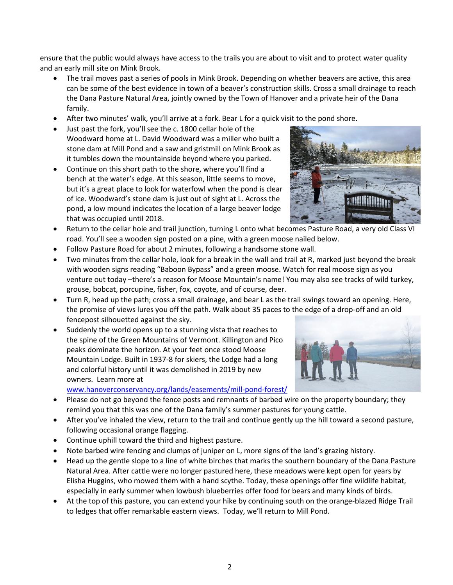ensure that the public would always have access to the trails you are about to visit and to protect water quality and an early mill site on Mink Brook.

- The trail moves past a series of pools in Mink Brook. Depending on whether beavers are active, this area can be some of the best evidence in town of a beaver's construction skills. Cross a small drainage to reach the Dana Pasture Natural Area, jointly owned by the Town of Hanover and a private heir of the Dana family.
- After two minutes' walk, you'll arrive at a fork. Bear L for a quick visit to the pond shore.
- Just past the fork, you'll see the c. 1800 cellar hole of the Woodward home at L. David Woodward was a miller who built a stone dam at Mill Pond and a saw and gristmill on Mink Brook as it tumbles down the mountainside beyond where you parked.
- Continue on this short path to the shore, where you'll find a bench at the water's edge. At this season, little seems to move, but it's a great place to look for waterfowl when the pond is clear of ice. Woodward's stone dam is just out of sight at L. Across the pond, a low mound indicates the location of a large beaver lodge that was occupied until 2018.



- Return to the cellar hole and trail junction, turning L onto what becomes Pasture Road, a very old Class VI road. You'll see a wooden sign posted on a pine, with a green moose nailed below.
- Follow Pasture Road for about 2 minutes, following a handsome stone wall.
- Two minutes from the cellar hole, look for a break in the wall and trail at R, marked just beyond the break with wooden signs reading "Baboon Bypass" and a green moose. Watch for real moose sign as you venture out today –there's a reason for Moose Mountain's name! You may also see tracks of wild turkey, grouse, bobcat, porcupine, fisher, fox, coyote, and of course, deer.
- Turn R, head up the path; cross a small drainage, and bear L as the trail swings toward an opening. Here, the promise of views lures you off the path. Walk about 35 paces to the edge of a drop-off and an old fencepost silhouetted against the sky.
- Suddenly the world opens up to a stunning vista that reaches to the spine of the Green Mountains of Vermont. Killington and Pico peaks dominate the horizon. At your feet once stood Moose Mountain Lodge. Built in 1937-8 for skiers, the Lodge had a long and colorful history until it was demolished in 2019 by new owners. Learn more at

[www.hanoverconservancy.org/lands/easements/mill-pond-forest/](http://www.hanoverconservancy.org/lands/easements/mill-pond-forest/)

- Please do not go beyond the fence posts and remnants of barbed wire on the property boundary; they remind you that this was one of the Dana family's summer pastures for young cattle.
- After you've inhaled the view, return to the trail and continue gently up the hill toward a second pasture, following occasional orange flagging.
- Continue uphill toward the third and highest pasture.
- Note barbed wire fencing and clumps of juniper on L, more signs of the land's grazing history.
- Head up the gentle slope to a line of white birches that marks the southern boundary of the Dana Pasture Natural Area. After cattle were no longer pastured here, these meadows were kept open for years by Elisha Huggins, who mowed them with a hand scythe. Today, these openings offer fine wildlife habitat, especially in early summer when lowbush blueberries offer food for bears and many kinds of birds.
- At the top of this pasture, you can extend your hike by continuing south on the orange-blazed Ridge Trail to ledges that offer remarkable eastern views. Today, we'll return to Mill Pond.